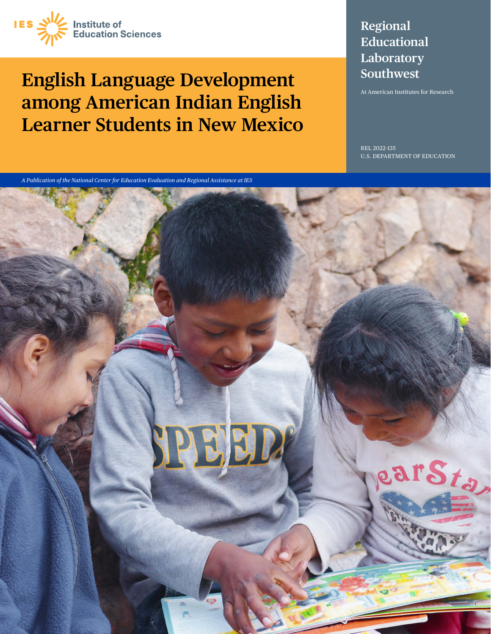

# **English Language Development among American Indian English Learner Students in New Mexico**

## **Regional Educational Laboratory Southwest**

At American Institutes for Research

REL 2022–135 U.S. DEPARTMENT OF EDUCATION

*A Publication of the National Center for Education Evaluation and Regional Assistance at IES*

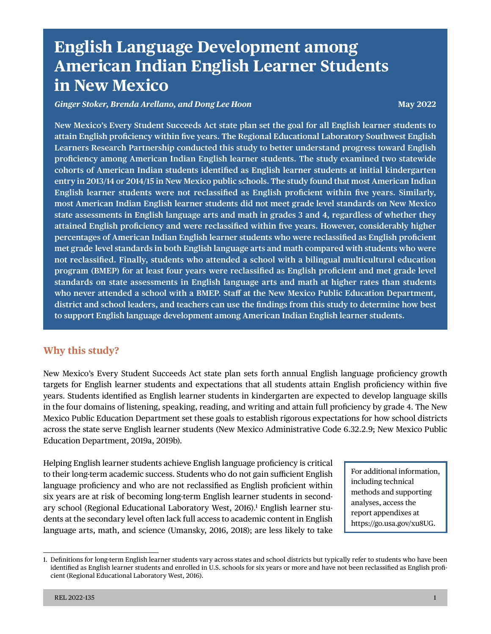## **English Language Development among American Indian English Learner Students in New Mexico**

#### *Ginger Stoker, Brenda Arellano, and Dong Lee Hoon May 2022* **May 2022**

**- most American Indian English learner students did not meet grade level standards on New Mexico - met grade level standards in both English language arts and math compared with students who were - program (BMEP) for at least four years were reclassifed as English profcient and met grade level New Mexico's Every Student Succeeds Act state plan set the goal for all English learner students to attain English profciency within fve years. The Regional Educational Laboratory Southwest English Learners Research Partnership conducted this study to better understand progress toward English profciency among American Indian English learner students. The study examined two statewide cohorts of American Indian students identifed as English learner students at initial kindergarten entry in 2013/14 or 2014/15 in New Mexico public schools. The study found that most American Indian English learner students were not reclassifed as English profcient within fve years. Similarly, state assessments in English language arts and math in grades 3 and 4, regardless of whether they attained English profciency and were reclassifed within fve years. However, considerably higher percentages of American Indian English learner students who were reclassifed as English profcient not reclassifed. Finally, students who attended a school with a bilingual multicultural education standards on state assessments in English language arts and math at higher rates than students who never attended a school with a BMEP. Staf at the New Mexico Public Education Department, district and school leaders, and teachers can use the fndings from this study to determine how best to support English language development among American Indian English learner students.** 

### **Why this study?**

New Mexico's Every Student Succeeds Act state plan sets forth annual English language profciency growth targets for English learner students and expectations that all students attain English profciency within fve years. Students identifed as English learner students in kindergarten are expected to develop language skills in the four domains of listening, speaking, reading, and writing and attain full profciency by grade 4. The New Mexico Public Education Department set these goals to establish rigorous expectations for how school districts across the state serve English learner students (New Mexico Administrative Code 6.32.2.9; New Mexico Public Education Department, 2019a, 2019b).

ary school (Regional Educational Laboratory West, 2016).<sup>1</sup> English learner stu-Helping English learner students achieve English language profciency is critical to their long-term academic success. Students who do not gain sufficient English language profciency and who are not reclassifed as English profcient within six years are at risk of becoming long-term English learner students in seconddents at the secondary level often lack full access to academic content in English language arts, math, and science (Umansky, 2016, 2018); are less likely to take

For additional information, including technical methods and supporting analyses, access the report appendixes at [https://go.usa.gov/xu8UG.](https://go.usa.gov/xu8UG)

<sup>1.</sup> Defnitions for long-term English learner students vary across states and school districts but typically refer to students who have been identifed as English learner students and enrolled in U.S. schools for six years or more and have not been reclassifed as English profcient (Regional Educational Laboratory West, 2016).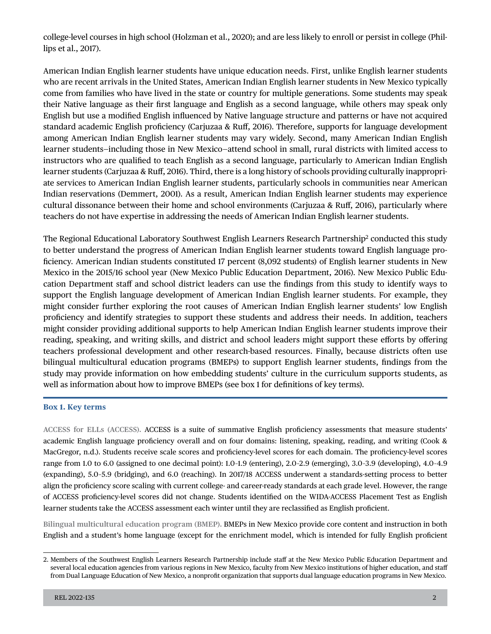college-level courses in high school (Holzman et al., 2020); and are less likely to enroll or persist in college (Phillips et al., 2017).

 learner students—including those in New Mexico—attend school in small, rural districts with limited access to American Indian English learner students have unique education needs. First, unlike English learner students who are recent arrivals in the United States, American Indian English learner students in New Mexico typically come from families who have lived in the state or country for multiple generations. Some students may speak their Native language as their frst language and English as a second language, while others may speak only English but use a modifed English infuenced by Native language structure and patterns or have not acquired standard academic English profciency (Carjuzaa & Ruf, 2016). Therefore, supports for language development among American Indian English learner students may vary widely. Second, many American Indian English instructors who are qualifed to teach English as a second language, particularly to American Indian English learner students (Carjuzaa & Ruf, 2016). Third, there is a long history of schools providing culturally inappropriate services to American Indian English learner students, particularly schools in communities near American Indian reservations (Demmert, 2001). As a result, American Indian English learner students may experience cultural dissonance between their home and school environments (Carjuzaa & Ruf, 2016), particularly where teachers do not have expertise in addressing the needs of American Indian English learner students.

The Regional Educational Laboratory Southwest English Learners Research Partnership<sup>2</sup> conducted this study to better understand the progress of American Indian English learner students toward English language profciency. American Indian students constituted 17 percent (8,092 students) of English learner students in New Mexico in the 2015/16 school year (New Mexico Public Education Department, 2016). New Mexico Public Education Department staff and school district leaders can use the findings from this study to identify ways to support the English language development of American Indian English learner students. For example, they might consider further exploring the root causes of American Indian English learner students' low English profciency and identify strategies to support these students and address their needs. In addition, teachers might consider providing additional supports to help American Indian English learner students improve their reading, speaking, and writing skills, and district and school leaders might support these eforts by ofering teachers professional development and other research-based resources. Finally, because districts often use bilingual multicultural education programs (BMEPs) to support English learner students, fndings from the study may provide information on how embedding students' culture in the curriculum supports students, as well as information about how to improve BMEPs (see box 1 for defnitions of key terms).

#### **Box 1. Key terms**

**ACCESS for ELLs (ACCESS).** ACCESS is a suite of summative English profciency assessments that measure students' academic English language profciency overall and on four domains: listening, speaking, reading, and writing (Cook & MacGregor, n.d.). Students receive scale scores and profciency-level scores for each domain. The profciency-level scores range from 1.0 to 6.0 (assigned to one decimal point): 1.0–1.9 (entering), 2.0–2.9 (emerging), 3.0–3.9 (developing), 4.0–4.9 (expanding), 5.0–5.9 (bridging), and 6.0 (reaching). In 2017/18 ACCESS underwent a standards-setting process to better align the profciency score scaling with current college- and career-ready standards at each grade level. However, the range of ACCESS profciency-level scores did not change. Students identifed on the WIDA-ACCESS Placement Test as English learner students take the ACCESS assessment each winter until they are reclassifed as English profcient.

**Bilingual multicultural education program (BMEP).** BMEPs in New Mexico provide core content and instruction in both English and a student's home language (except for the enrichment model, which is intended for fully English profcient

<sup>2.</sup> Members of the Southwest English Learners Research Partnership include staf at the New Mexico Public Education Department and several local education agencies from various regions in New Mexico, faculty from New Mexico institutions of higher education, and staf from Dual Language Education of New Mexico, a nonproft organization that supports dual language education programs in New Mexico.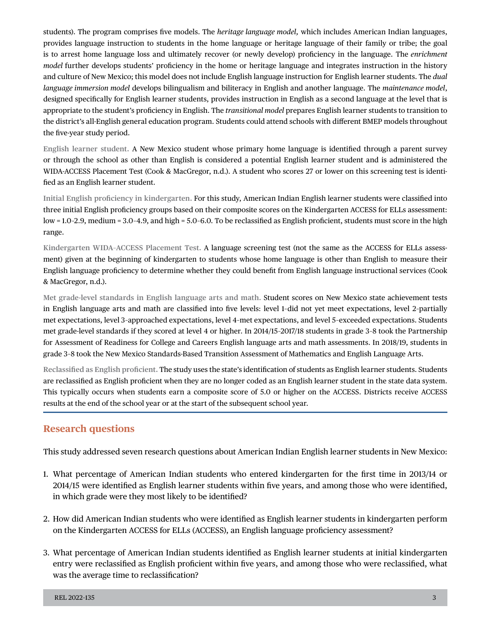students). The program comprises fve models. The *heritage language model,* which includes American Indian languages, provides language instruction to students in the home language or heritage language of their family or tribe; the goal is to arrest home language loss and ultimately recover (or newly develop) profciency in the language. The *enrichment model* further develops students' proficiency in the home or heritage language and integrates instruction in the history and culture of New Mexico; this model does not include English language instruction for English learner students. The *dual language immersion model* develops bilingualism and biliteracy in English and another language. The *maintenance model*, designed specifcally for English learner students, provides instruction in English as a second language at the level that is appropriate to the student's profciency in English. The *transitional model* prepares English learner students to transition to the district's all-English general education program. Students could attend schools with diferent BMEP models throughout the fve-year study period.

**English learner student.** A New Mexico student whose primary home language is identifed through a parent survey or through the school as other than English is considered a potential English learner student and is administered the WIDA-ACCESS Placement Test (Cook & MacGregor, n.d.). A student who scores 27 or lower on this screening test is identifed as an English learner student.

**Initial English profciency in kindergarten.** For this study, American Indian English learner students were classifed into three initial English profciency groups based on their composite scores on the Kindergarten ACCESS for ELLs assessment: low = 1.0-2.9, medium = 3.0-4.9, and high = 5.0-6.0. To be reclassified as English proficient, students must score in the high range.

**Kindergarten WIDA–ACCESS Placement Test.** A language screening test (not the same as the ACCESS for ELLs assessment) given at the beginning of kindergarten to students whose home language is other than English to measure their English language profciency to determine whether they could beneft from English language instructional services (Cook & MacGregor, n.d.).

**Met grade-level standards in English language arts and math.** Student scores on New Mexico state achievement tests in English language arts and math are classifed into fve levels: level 1–did not yet meet expectations, level 2–partially met expectations, level 3–approached expectations, level 4–met expectations, and level 5–exceeded expectations. Students met grade-level standards if they scored at level 4 or higher. In 2014/15–2017/18 students in grade 3–8 took the Partnership for Assessment of Readiness for College and Careers English language arts and math assessments. In 2018/19, students in grade 3–8 took the New Mexico Standards-Based Transition Assessment of Mathematics and English Language Arts.

**Reclassifed as English profcient.** The study uses the state's identifcation of students as English learner students. Students are reclassifed as English profcient when they are no longer coded as an English learner student in the state data system. This typically occurs when students earn a composite score of 5.0 or higher on the ACCESS. Districts receive ACCESS results at the end of the school year or at the start of the subsequent school year.

## **Research questions**

This study addressed seven research questions about American Indian English learner students in New Mexico:

- 1. What percentage of American Indian students who entered kindergarten for the frst time in 2013/14 or 2014/15 were identifed as English learner students within fve years, and among those who were identifed, in which grade were they most likely to be identifed?
- 2. How did American Indian students who were identifed as English learner students in kindergarten perform on the Kindergarten ACCESS for ELLs (ACCESS), an English language profciency assessment?
- 3. What percentage of American Indian students identifed as English learner students at initial kindergarten entry were reclassifed as English profcient within fve years, and among those who were reclassifed, what was the average time to reclassifcation?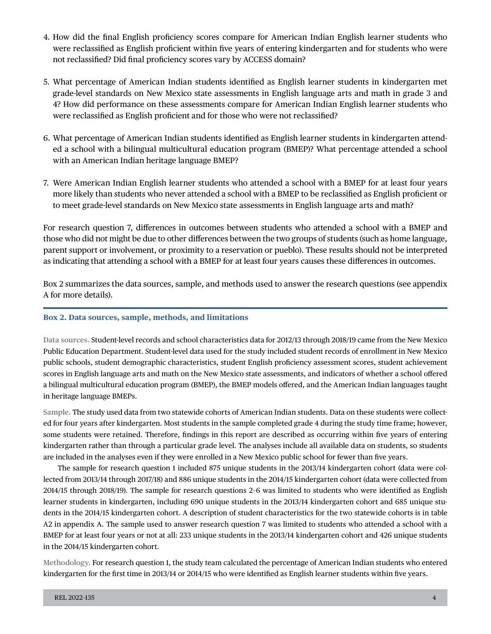- 4. How did the fnal English profciency scores compare for American Indian English learner students who were reclassified as English proficient within five years of entering kindergarten and for students who were not reclassifed? Did fnal profciency scores vary by ACCESS domain?
- 5. What percentage of American Indian students identifed as English learner students in kindergarten met grade-level standards on New Mexico state assessments in English language arts and math in grade 3 and 4? How did performance on these assessments compare for American Indian English learner students who were reclassifed as English profcient and for those who were not reclassifed?
- 6. What percentage of American Indian students identifed as English learner students in kindergarten attended a school with a bilingual multicultural education program (BMEP)? What percentage attended a school with an American Indian heritage language BMEP?
- 7. Were American Indian English learner students who attended a school with a BMEP for at least four years more likely than students who never attended a school with a BMEP to be reclassifed as English profcient or to meet grade-level standards on New Mexico state assessments in English language arts and math?

For research question 7, diferences in outcomes between students who attended a school with a BMEP and those who did not might be due to other diferences between the two groups of students (such as home language, parent support or involvement, or proximity to a reservation or pueblo). These results should not be interpreted as indicating that attending a school with a BMEP for at least four years causes these diferences in outcomes.

Box 2 summarizes the data sources, sample, and methods used to answer the research questions (see appendix A for more details).

#### **Box 2. Data sources, sample, methods, and limitations**

**Data sources.** Student-level records and school characteristics data for 2012/13 through 2018/19 came from the New Mexico Public Education Department. Student-level data used for the study included student records of enrollment in New Mexico public schools, student demographic characteristics, student English profciency assessment scores, student achievement scores in English language arts and math on the New Mexico state assessments, and indicators of whether a school ofered a bilingual multicultural education program (BMEP), the BMEP models ofered, and the American Indian languages taught in heritage language BMEPs.

**Sample.** The study used data from two statewide cohorts of American Indian students. Data on these students were collected for four years after kindergarten. Most students in the sample completed grade 4 during the study time frame; however, some students were retained. Therefore, findings in this report are described as occurring within five years of entering kindergarten rather than through a particular grade level. The analyses include all available data on students, so students are included in the analyses even if they were enrolled in a New Mexico public school for fewer than fve years.

The sample for research question 1 included 875 unique students in the 2013/14 kindergarten cohort (data were collected from 2013/14 through 2017/18) and 886 unique students in the 2014/15 kindergarten cohort (data were collected from 2014/15 through 2018/19). The sample for research questions 2–6 was limited to students who were identifed as English learner students in kindergarten, including 690 unique students in the 2013/14 kindergarten cohort and 685 unique students in the 2014/15 kindergarten cohort. A description of student characteristics for the two statewide cohorts is in table A2 in appendix A. The sample used to answer research question 7 was limited to students who attended a school with a BMEP for at least four years or not at all: 233 unique students in the 2013/14 kindergarten cohort and 426 unique students in the 2014/15 kindergarten cohort.

**Methodology.** For research question 1, the study team calculated the percentage of American Indian students who entered kindergarten for the frst time in 2013/14 or 2014/15 who were identifed as English learner students within fve years.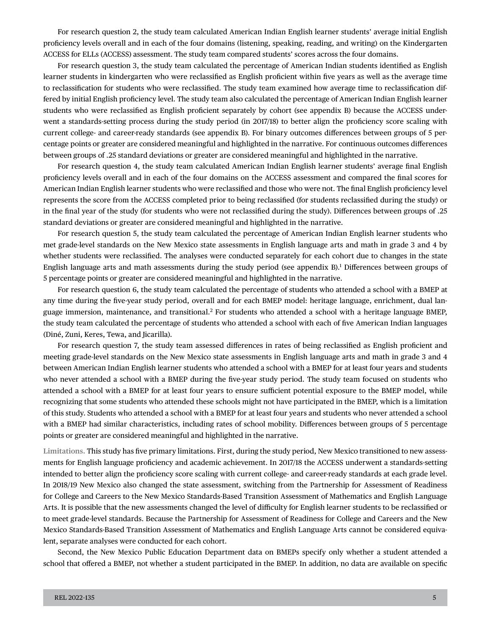For research question 2, the study team calculated American Indian English learner students' average initial English profciency levels overall and in each of the four domains (listening, speaking, reading, and writing) on the Kindergarten ACCESS for ELLs (ACCESS) assessment. The study team compared students' scores across the four domains.

For research question 3, the study team calculated the percentage of American Indian students identifed as English learner students in kindergarten who were reclassifed as English profcient within fve years as well as the average time to reclassifcation for students who were reclassifed. The study team examined how average time to reclassifcation differed by initial English profciency level. The study team also calculated the percentage of American Indian English learner students who were reclassifed as English profcient separately by cohort (see appendix B) because the ACCESS underwent a standards-setting process during the study period (in 2017/18) to better align the profciency score scaling with current college- and career-ready standards (see appendix B). For binary outcomes diferences between groups of 5 percentage points or greater are considered meaningful and highlighted in the narrative. For continuous outcomes diferences between groups of .25 standard deviations or greater are considered meaningful and highlighted in the narrative.

For research question 4, the study team calculated American Indian English learner students' average fnal English profciency levels overall and in each of the four domains on the ACCESS assessment and compared the fnal scores for American Indian English learner students who were reclassifed and those who were not. The fnal English profciency level represents the score from the ACCESS completed prior to being reclassifed (for students reclassifed during the study) or in the fnal year of the study (for students who were not reclassifed during the study). Diferences between groups of .25 standard deviations or greater are considered meaningful and highlighted in the narrative.

For research question 5, the study team calculated the percentage of American Indian English learner students who met grade-level standards on the New Mexico state assessments in English language arts and math in grade 3 and 4 by whether students were reclassifed. The analyses were conducted separately for each cohort due to changes in the state English language arts and math assessments during the study period (see appendix B).<sup>1</sup> Differences between groups of 5 percentage points or greater are considered meaningful and highlighted in the narrative.

For research question 6, the study team calculated the percentage of students who attended a school with a BMEP at any time during the fve-year study period, overall and for each BMEP model: heritage language, enrichment, dual language immersion, maintenance, and transitional.<sup>2</sup> For students who attended a school with a heritage language BMEP, the study team calculated the percentage of students who attended a school with each of fve American Indian languages (Diné, Zuni, Keres, Tewa, and Jicarilla).

For research question 7, the study team assessed diferences in rates of being reclassifed as English profcient and meeting grade-level standards on the New Mexico state assessments in English language arts and math in grade 3 and 4 between American Indian English learner students who attended a school with a BMEP for at least four years and students who never attended a school with a BMEP during the fve-year study period. The study team focused on students who attended a school with a BMEP for at least four years to ensure sufficient potential exposure to the BMEP model, while recognizing that some students who attended these schools might not have participated in the BMEP, which is a limitation of this study. Students who attended a school with a BMEP for at least four years and students who never attended a school with a BMEP had similar characteristics, including rates of school mobility. Diferences between groups of 5 percentage points or greater are considered meaningful and highlighted in the narrative.

**Limitations.** This study has fve primary limitations. First, during the study period, New Mexico transitioned to new assessments for English language profciency and academic achievement. In 2017/18 the ACCESS underwent a standards-setting intended to better align the profciency score scaling with current college- and career-ready standards at each grade level. In 2018/19 New Mexico also changed the state assessment, switching from the Partnership for Assessment of Readiness for College and Careers to the New Mexico Standards-Based Transition Assessment of Mathematics and English Language Arts. It is possible that the new assessments changed the level of difficulty for English learner students to be reclassified or to meet grade-level standards. Because the Partnership for Assessment of Readiness for College and Careers and the New Mexico Standards-Based Transition Assessment of Mathematics and English Language Arts cannot be considered equivalent, separate analyses were conducted for each cohort.

Second, the New Mexico Public Education Department data on BMEPs specify only whether a student attended a school that ofered a BMEP, not whether a student participated in the BMEP. In addition, no data are available on specifc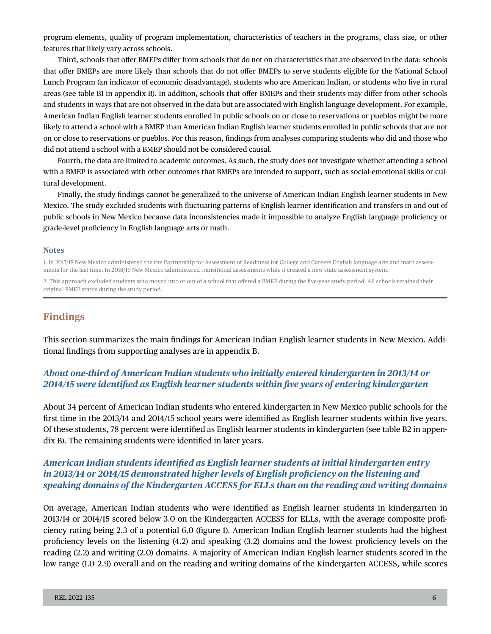program elements, quality of program implementation, characteristics of teachers in the programs, class size, or other features that likely vary across schools.

Third, schools that ofer BMEPs difer from schools that do not on characteristics that are observed in the data: schools that ofer BMEPs are more likely than schools that do not ofer BMEPs to serve students eligible for the National School Lunch Program (an indicator of economic disadvantage), students who are American Indian, or students who live in rural areas (see table B1 in appendix B). In addition, schools that ofer BMEPs and their students may difer from other schools and students in ways that are not observed in the data but are associated with English language development. For example, American Indian English learner students enrolled in public schools on or close to reservations or pueblos might be more likely to attend a school with a BMEP than American Indian English learner students enrolled in public schools that are not on or close to reservations or pueblos. For this reason, fndings from analyses comparing students who did and those who did not attend a school with a BMEP should not be considered causal.

Fourth, the data are limited to academic outcomes. As such, the study does not investigate whether attending a school with a BMEP is associated with other outcomes that BMEPs are intended to support, such as social-emotional skills or cultural development.

Finally, the study fndings cannot be generalized to the universe of American Indian English learner students in New Mexico. The study excluded students with fuctuating patterns of English learner identifcation and transfers in and out of public schools in New Mexico because data inconsistencies made it impossible to analyze English language profciency or grade-level profciency in English language arts or math.

#### **Notes**

1. In 2017/18 New Mexico administered the the Partnership for Assessment of Readiness for College and Careers English language arts and math assessments for the last time. In 2018/19 New Mexico administered transitional assessments while it created a new state assessment system.

2. This approach excluded students who moved into or out of a school that ofered a BMEP during the fve-year study period. All schools retained their original BMEP status during the study period.

### **Findings**

This section summarizes the main fndings for American Indian English learner students in New Mexico. Additional fndings from supporting analyses are in appendix B.

#### *About one-third of American Indian students who initially entered kindergarten in 2013/14 or 2014/15 were identifed as English learner students within fve years of entering kindergarten*

About 34 percent of American Indian students who entered kindergarten in New Mexico public schools for the frst time in the 2013/14 and 2014/15 school years were identifed as English learner students within fve years. Of these students, 78 percent were identifed as English learner students in kindergarten (see table B2 in appendix B). The remaining students were identifed in later years.

#### *American Indian students identifed as English learner students at initial kindergarten entry in 2013/14 or 2014/15 demonstrated higher levels of English profciency on the listening and speaking domains of the Kindergarten ACCESS for ELLs than on the reading and writing domains*

On average, American Indian students who were identifed as English learner students in kindergarten in 2013/14 or 2014/15 scored below 3.0 on the Kindergarten ACCESS for ELLs, with the average composite profciency rating being 2.3 of a potential 6.0 (fgure 1). American Indian English learner students had the highest profciency levels on the listening (4.2) and speaking (3.2) domains and the lowest profciency levels on the reading (2.2) and writing (2.0) domains. A majority of American Indian English learner students scored in the low range (1.0–2.9) overall and on the reading and writing domains of the Kindergarten ACCESS, while scores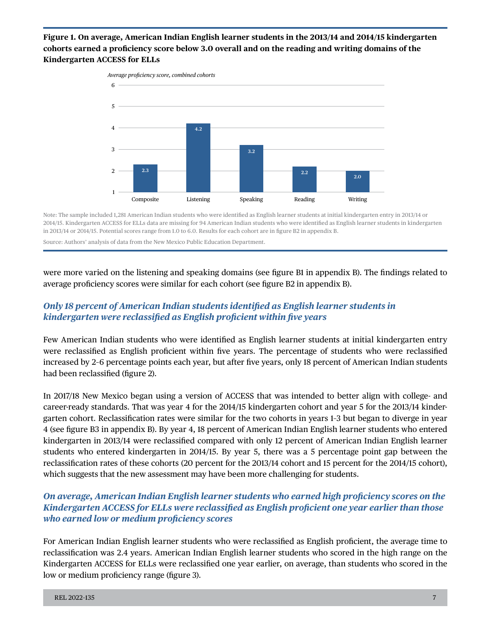#### **Figure 1. On average, American Indian English learner students in the 2013/14 and 2014/15 kindergarten cohorts earned a profciency score below 3.0 overall and on the reading and writing domains of the Kindergarten ACCESS for ELLs**



Note: The sample included 1,281 American Indian students who were identifed as English learner students at initial kindergarten entry in 2013/14 or 2014/15. Kindergarten ACCESS for ELLs data are missing for 94 American Indian students who were identifed as English learner students in kindergarten in 2013/14 or 2014/15. Potential scores range from 1.0 to 6.0. Results for each cohort are in fgure B2 in appendix B.

Source: Authors' analysis of data from the New Mexico Public Education Department.

were more varied on the listening and speaking domains (see fgure B1 in appendix B). The fndings related to average profciency scores were similar for each cohort (see fgure B2 in appendix B).

### *Only 18 percent of American Indian students identifed as English learner students in kindergarten were reclassifed as English profcient within fve years*

Few American Indian students who were identifed as English learner students at initial kindergarten entry were reclassifed as English profcient within fve years. The percentage of students who were reclassifed increased by 2–6 percentage points each year, but after fve years, only 18 percent of American Indian students had been reclassifed (fgure 2).

In 2017/18 New Mexico began using a version of ACCESS that was intended to better align with college- and career-ready standards. That was year 4 for the 2014/15 kindergarten cohort and year 5 for the 2013/14 kindergarten cohort. Reclassifcation rates were similar for the two cohorts in years 1–3 but began to diverge in year 4 (see fgure B3 in appendix B). By year 4, 18 percent of American Indian English learner students who entered kindergarten in 2013/14 were reclassifed compared with only 12 percent of American Indian English learner students who entered kindergarten in 2014/15. By year 5, there was a 5 percentage point gap between the reclassifcation rates of these cohorts (20 percent for the 2013/14 cohort and 15 percent for the 2014/15 cohort), which suggests that the new assessment may have been more challenging for students.

### *On average, American Indian English learner students who earned high profciency scores on the Kindergarten ACCESS for ELLs were reclassifed as English profcient one year earlier than those who earned low or medium profciency scores*

For American Indian English learner students who were reclassifed as English profcient, the average time to reclassifcation was 2.4 years. American Indian English learner students who scored in the high range on the Kindergarten ACCESS for ELLs were reclassifed one year earlier, on average, than students who scored in the low or medium proficiency range (figure 3).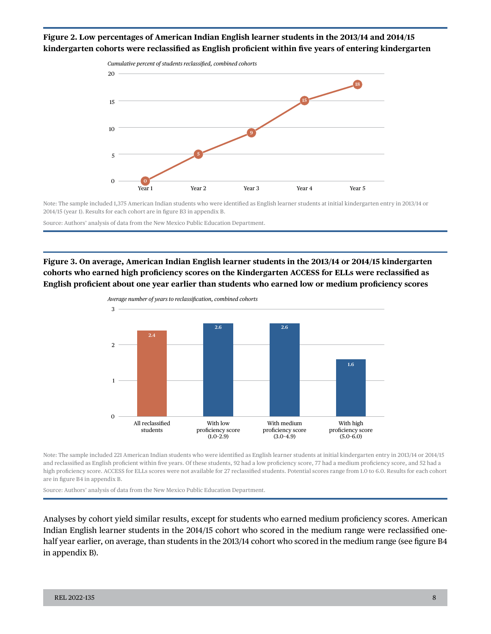#### **Figure 2. Low percentages of American Indian English learner students in the 2013/14 and 2014/15 kindergarten cohorts were reclassifed as English profcient within fve years of entering kindergarten**



Note: The sample included 1,375 American Indian students who were identifed as English learner students at initial kindergarten entry in 2013/14 or 2014/15 (year 1). Results for each cohort are in fgure B3 in appendix B.

Source: Authors' analysis of data from the New Mexico Public Education Department.

**Figure 3. On average, American Indian English learner students in the 2013/14 or 2014/15 kindergarten cohorts who earned high profciency scores on the Kindergarten ACCESS for ELLs were reclassifed as English profcient about one year earlier than students who earned low or medium profciency scores** 



Note: The sample included 221 American Indian students who were identifed as English learner students at initial kindergarten entry in 2013/14 or 2014/15 and reclassifed as English profcient within fve years. Of these students, 92 had a low profciency score, 77 had a medium profciency score, and 52 had a high profciency score. ACCESS for ELLs scores were not available for 27 reclassifed students. Potential scores range from 1.0 to 6.0. Results for each cohort are in fgure B4 in appendix B.

Source: Authors' analysis of data from the New Mexico Public Education Department.

Analyses by cohort yield similar results, except for students who earned medium profciency scores. American Indian English learner students in the 2014/15 cohort who scored in the medium range were reclassifed onehalf year earlier, on average, than students in the 2013/14 cohort who scored in the medium range (see fgure B4 in appendix B).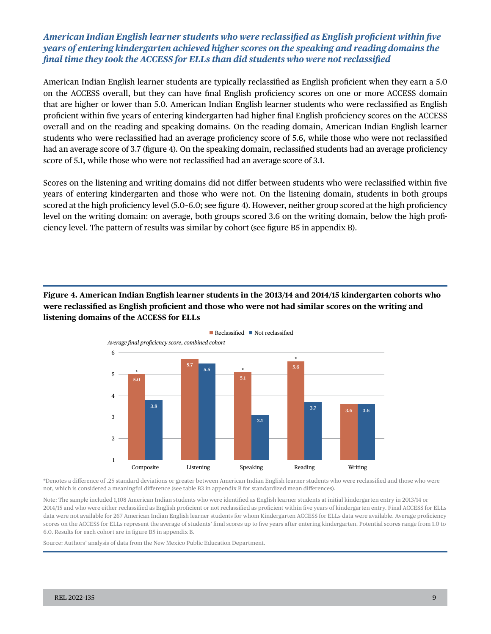#### *American Indian English learner students who were reclassifed as English profcient within fve years of entering kindergarten achieved higher scores on the speaking and reading domains the fnal time they took the ACCESS for ELLs than did students who were not reclassifed*

American Indian English learner students are typically reclassifed as English profcient when they earn a 5.0 on the ACCESS overall, but they can have fnal English profciency scores on one or more ACCESS domain that are higher or lower than 5.0. American Indian English learner students who were reclassifed as English profcient within fve years of entering kindergarten had higher fnal English profciency scores on the ACCESS overall and on the reading and speaking domains. On the reading domain, American Indian English learner students who were reclassifed had an average profciency score of 5.6, while those who were not reclassifed had an average score of 3.7 (figure 4). On the speaking domain, reclassified students had an average proficiency score of 5.1, while those who were not reclassifed had an average score of 3.1.

Scores on the listening and writing domains did not difer between students who were reclassifed within fve years of entering kindergarten and those who were not. On the listening domain, students in both groups scored at the high proficiency level (5.0–6.0; see figure 4). However, neither group scored at the high proficiency level on the writing domain: on average, both groups scored 3.6 on the writing domain, below the high profciency level. The pattern of results was similar by cohort (see fgure B5 in appendix B).

**Figure 4. American Indian English learner students in the 2013/14 and 2014/15 kindergarten cohorts who were reclassifed as English profcient and those who were not had similar scores on the writing and listening domains of the ACCESS for ELLs** 



\*Denotes a diference of .25 standard deviations or greater between American Indian English learner students who were reclassifed and those who were not, which is considered a meaningful diference (see table B3 in appendix B for standardized mean diferences).

Note: The sample included 1,108 American Indian students who were identifed as English learner students at initial kindergarten entry in 2013/14 or 2014/15 and who were either reclassifed as English profcient or not reclassifed as profcient within fve years of kindergarten entry. Final ACCESS for ELLs data were not available for 267 American Indian English learner students for whom Kindergarten ACCESS for ELLs data were available. Average profciency scores on the ACCESS for ELLs represent the average of students' fnal scores up to fve years after entering kindergarten. Potential scores range from 1.0 to 6.0. Results for each cohort are in fgure B5 in appendix B.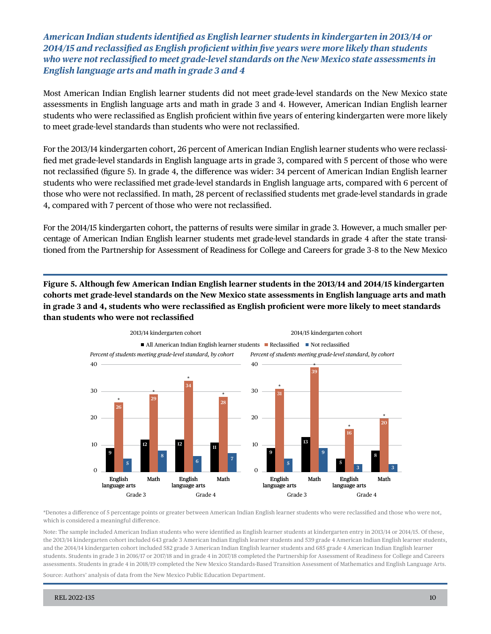*American Indian students identifed as English learner students in kindergarten in 2013/14 or 2014/15 and reclassifed as English profcient within fve years were more likely than students who were not reclassifed to meet grade-level standards on the New Mexico state assessments in English language arts and math in grade 3 and 4* 

Most American Indian English learner students did not meet grade-level standards on the New Mexico state assessments in English language arts and math in grade 3 and 4. However, American Indian English learner students who were reclassifed as English profcient within fve years of entering kindergarten were more likely to meet grade-level standards than students who were not reclassifed.

For the 2013/14 kindergarten cohort, 26 percent of American Indian English learner students who were reclassifed met grade-level standards in English language arts in grade 3, compared with 5 percent of those who were not reclassifed (fgure 5). In grade 4, the diference was wider: 34 percent of American Indian English learner students who were reclassifed met grade-level standards in English language arts, compared with 6 percent of those who were not reclassifed. In math, 28 percent of reclassifed students met grade-level standards in grade 4, compared with 7 percent of those who were not reclassifed.

For the 2014/15 kindergarten cohort, the patterns of results were similar in grade 3. However, a much smaller percentage of American Indian English learner students met grade-level standards in grade 4 after the state transitioned from the Partnership for Assessment of Readiness for College and Careers for grade 3–8 to the New Mexico

**Figure 5. Although few American Indian English learner students in the 2013/14 and 2014/15 kindergarten cohorts met grade-level standards on the New Mexico state assessments in English language arts and math in grade 3 and 4, students who were reclassifed as English profcient were more likely to meet standards than students who were not reclassifed** 



\*Denotes a diference of 5 percentage points or greater between American Indian English learner students who were reclassifed and those who were not, which is considered a meaningful diference.

Note: The sample included American Indian students who were identifed as English learner students at kindergarten entry in 2013/14 or 2014/15. Of these, the 2013/14 kindergarten cohort included 643 grade 3 American Indian English learner students and 539 grade 4 American Indian English learner students, and the 2014/14 kindergarten cohort included 582 grade 3 American Indian English learner students and 685 grade 4 American Indian English learner students. Students in grade 3 in 2016/17 or 2017/18 and in grade 4 in 2017/18 completed the Partnership for Assessment of Readiness for College and Careers assessments. Students in grade 4 in 2018/19 completed the New Mexico Standards-Based Transition Assessment of Mathematics and English Language Arts.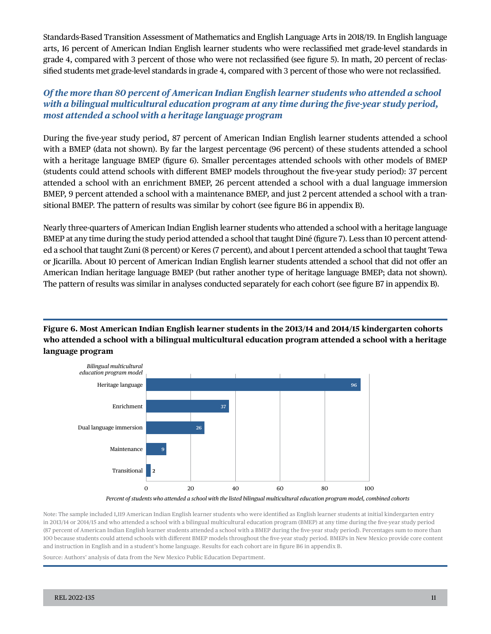Standards-Based Transition Assessment of Mathematics and English Language Arts in 2018/19. In English language arts, 16 percent of American Indian English learner students who were reclassifed met grade-level standards in grade 4, compared with 3 percent of those who were not reclassifed (see fgure 5). In math, 20 percent of reclassifed students met grade-level standards in grade 4, compared with 3 percent of those who were not reclassifed.

### *Of the more than 80 percent of American Indian English learner students who attended a school with a bilingual multicultural education program at any time during the fve-year study period, most attended a school with a heritage language program*

During the fve-year study period, 87 percent of American Indian English learner students attended a school with a BMEP (data not shown). By far the largest percentage (96 percent) of these students attended a school with a heritage language BMEP (fgure 6). Smaller percentages attended schools with other models of BMEP (students could attend schools with diferent BMEP models throughout the fve-year study period): 37 percent attended a school with an enrichment BMEP, 26 percent attended a school with a dual language immersion BMEP, 9 percent attended a school with a maintenance BMEP, and just 2 percent attended a school with a transitional BMEP. The pattern of results was similar by cohort (see fgure B6 in appendix B).

Nearly three-quarters of American Indian English learner students who attended a school with a heritage language BMEP at any time during the study period attended a school that taught Diné (figure 7). Less than 10 percent attended a school that taught Zuni (8 percent) or Keres (7 percent), and about 1 percent attended a school that taught Tewa or Jicarilla. About 10 percent of American Indian English learner students attended a school that did not ofer an American Indian heritage language BMEP (but rather another type of heritage language BMEP; data not shown). The pattern of results was similar in analyses conducted separately for each cohort (see fgure B7 in appendix B).

**Figure 6. Most American Indian English learner students in the 2013/14 and 2014/15 kindergarten cohorts who attended a school with a bilingual multicultural education program attended a school with a heritage language program** 



#### *Percent of students who attended a school with the listed bilingual multicultural education program model, combined cohorts*

Note: The sample included 1,119 American Indian English learner students who were identifed as English learner students at initial kindergarten entry in 2013/14 or 2014/15 and who attended a school with a bilingual multicultural education program (BMEP) at any time during the fve-year study period (87 percent of American Indian English learner students attended a school with a BMEP during the fve-year study period). Percentages sum to more than 100 because students could attend schools with diferent BMEP models throughout the fve-year study period. BMEPs in New Mexico provide core content and instruction in English and in a student's home language. Results for each cohort are in fgure B6 in appendix B.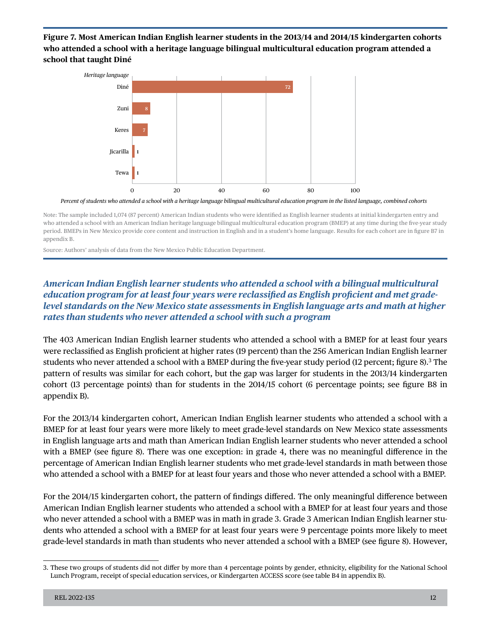**Figure 7. Most American Indian English learner students in the 2013/14 and 2014/15 kindergarten cohorts who attended a school with a heritage language bilingual multicultural education program attended a school that taught Diné** 



*Percent of students who attended a school with a heritage language bilingual multicultural education program in the listed language, combined cohorts* 

Note: The sample included 1,074 (87 percent) American Indian students who were identifed as English learner students at initial kindergarten entry and who attended a school with an American Indian heritage language bilingual multicultural education program (BMEP) at any time during the fve-year study period. BMEPs in New Mexico provide core content and instruction in English and in a student's home language. Results for each cohort are in fgure B7 in appendix B.

Source: Authors' analysis of data from the New Mexico Public Education Department.

### *American Indian English learner students who attended a school with a bilingual multicultural education program for at least four years were reclassifed as English profcient and met gradelevel standards on the New Mexico state assessments in English language arts and math at higher rates than students who never attended a school with such a program*

The 403 American Indian English learner students who attended a school with a BMEP for at least four years were reclassifed as English profcient at higher rates (19 percent) than the 256 American Indian English learner students who never attended a school with a BMEP during the fve-year study period (12 percent; fgure 8).3 The pattern of results was similar for each cohort, but the gap was larger for students in the 2013/14 kindergarten cohort (13 percentage points) than for students in the 2014/15 cohort (6 percentage points; see fgure B8 in appendix B).

For the 2013/14 kindergarten cohort, American Indian English learner students who attended a school with a BMEP for at least four years were more likely to meet grade-level standards on New Mexico state assessments in English language arts and math than American Indian English learner students who never attended a school with a BMEP (see fgure 8). There was one exception: in grade 4, there was no meaningful diference in the percentage of American Indian English learner students who met grade-level standards in math between those who attended a school with a BMEP for at least four years and those who never attended a school with a BMEP.

For the 2014/15 kindergarten cohort, the pattern of fndings difered. The only meaningful diference between American Indian English learner students who attended a school with a BMEP for at least four years and those who never attended a school with a BMEP was in math in grade 3. Grade 3 American Indian English learner students who attended a school with a BMEP for at least four years were 9 percentage points more likely to meet grade-level standards in math than students who never attended a school with a BMEP (see fgure 8). However,

<sup>3.</sup> These two groups of students did not difer by more than 4 percentage points by gender, ethnicity, eligibility for the National School Lunch Program, receipt of special education services, or Kindergarten ACCESS score (see table B4 in appendix B).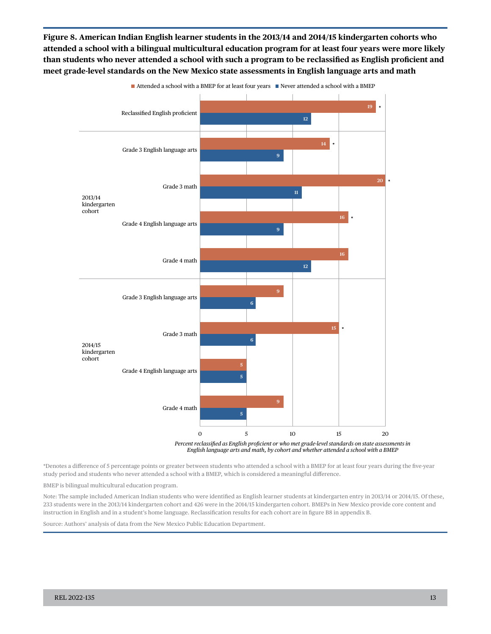**Figure 8. American Indian English learner students in the 2013/14 and 2014/15 kindergarten cohorts who attended a school with a bilingual multicultural education program for at least four years were more likely than students who never attended a school with such a program to be reclassifed as English profcient and meet grade-level standards on the New Mexico state assessments in English language arts and math** 



\*Denotes a diference of 5 percentage points or greater between students who attended a school with a BMEP for at least four years during the fve-year study period and students who never attended a school with a BMEP, which is considered a meaningful diference.

BMEP is bilingual multicultural education program.

Note: The sample included American Indian students who were identifed as English learner students at kindergarten entry in 2013/14 or 2014/15. Of these, 233 students were in the 2013/14 kindergarten cohort and 426 were in the 2014/15 kindergarten cohort. BMEPs in New Mexico provide core content and instruction in English and in a student's home language. Reclassifcation results for each cohort are in fgure B8 in appendix B.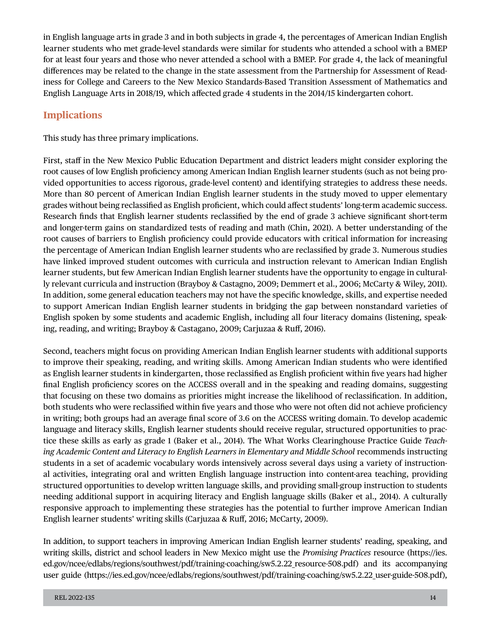in English language arts in grade 3 and in both subjects in grade 4, the percentages of American Indian English learner students who met grade-level standards were similar for students who attended a school with a BMEP for at least four years and those who never attended a school with a BMEP. For grade 4, the lack of meaningful diferences may be related to the change in the state assessment from the Partnership for Assessment of Readiness for College and Careers to the New Mexico Standards-Based Transition Assessment of Mathematics and English Language Arts in 2018/19, which afected grade 4 students in the 2014/15 kindergarten cohort.

## **Implications**

This study has three primary implications.

First, staf in the New Mexico Public Education Department and district leaders might consider exploring the root causes of low English profciency among American Indian English learner students (such as not being provided opportunities to access rigorous, grade-level content) and identifying strategies to address these needs. More than 80 percent of American Indian English learner students in the study moved to upper elementary grades without being reclassifed as English profcient, which could afect students' long-term academic success. Research fnds that English learner students reclassifed by the end of grade 3 achieve signifcant short-term and longer-term gains on standardized tests of reading and math (Chin, 2021). A better understanding of the root causes of barriers to English profciency could provide educators with critical information for increasing the percentage of American Indian English learner students who are reclassifed by grade 3. Numerous studies have linked improved student outcomes with curricula and instruction relevant to American Indian English learner students, but few American Indian English learner students have the opportunity to engage in culturally relevant curricula and instruction (Brayboy & Castagno, 2009; Demmert et al., 2006; McCarty & Wiley, 2011). In addition, some general education teachers may not have the specifc knowledge, skills, and expertise needed to support American Indian English learner students in bridging the gap between nonstandard varieties of English spoken by some students and academic English, including all four literacy domains (listening, speaking, reading, and writing; Brayboy & Castagano, 2009; Carjuzaa & Ruf, 2016).

Second, teachers might focus on providing American Indian English learner students with additional supports to improve their speaking, reading, and writing skills. Among American Indian students who were identifed as English learner students in kindergarten, those reclassifed as English profcient within fve years had higher fnal English profciency scores on the ACCESS overall and in the speaking and reading domains, suggesting that focusing on these two domains as priorities might increase the likelihood of reclassifcation. In addition, both students who were reclassifed within fve years and those who were not often did not achieve profciency in writing; both groups had an average fnal score of 3.6 on the ACCESS writing domain. To develop academic language and literacy skills, English learner students should receive regular, structured opportunities to practice these skills as early as grade 1 (Baker et al., 2014). The What Works Clearinghouse Practice Guide *Teaching Academic Content and Literacy to English Learners in Elementary and Middle School* recommends instructing students in a set of academic vocabulary words intensively across several days using a variety of instructional activities, integrating oral and written English language instruction into content-area teaching, providing structured opportunities to develop written language skills, and providing small-group instruction to students needing additional support in acquiring literacy and English language skills (Baker et al., 2014). A culturally responsive approach to implementing these strategies has the potential to further improve American Indian English learner students' writing skills (Carjuzaa & Ruf, 2016; McCarty, 2009).

In addition, to support teachers in improving American Indian English learner students' reading, speaking, and writing skills, district and school leaders in New Mexico might use the *Promising Practices* resource [\(https://ies.](https://ies.ed.gov/ncee/edlabs/regions/southwest/pdf/training-coaching/sw5.2.22_resource-508.pdf)  [ed.gov/ncee/edlabs/regions/southwest/pdf/training-coaching/sw5.2.22\\_resource-508.pdf](https://ies.ed.gov/ncee/edlabs/regions/southwest/pdf/training-coaching/sw5.2.22_resource-508.pdf)) and its accompanying user guide (https://ies.ed.gov/ncee/edlabs/regions/southwest/pdf/training-coaching/sw5.2.22 user-guide-508.pdf),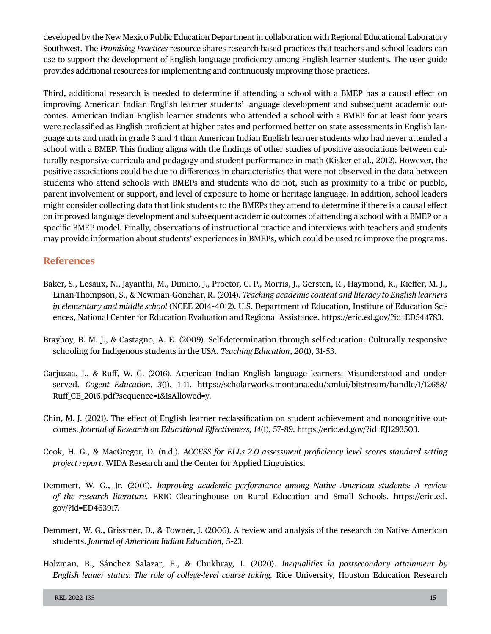developed by the New Mexico Public Education Department in collaboration with Regional Educational Laboratory Southwest. The *Promising Practices* resource shares research-based practices that teachers and school leaders can use to support the development of English language profciency among English learner students. The user guide provides additional resources for implementing and continuously improving those practices.

Third, additional research is needed to determine if attending a school with a BMEP has a causal efect on improving American Indian English learner students' language development and subsequent academic outcomes. American Indian English learner students who attended a school with a BMEP for at least four years were reclassifed as English profcient at higher rates and performed better on state assessments in English language arts and math in grade 3 and 4 than American Indian English learner students who had never attended a school with a BMEP. This fnding aligns with the fndings of other studies of positive associations between culturally responsive curricula and pedagogy and student performance in math (Kisker et al., 2012). However, the positive associations could be due to diferences in characteristics that were not observed in the data between students who attend schools with BMEPs and students who do not, such as proximity to a tribe or pueblo, parent involvement or support, and level of exposure to home or heritage language. In addition, school leaders might consider collecting data that link students to the BMEPs they attend to determine if there is a causal efect on improved language development and subsequent academic outcomes of attending a school with a BMEP or a specifc BMEP model. Finally, observations of instructional practice and interviews with teachers and students may provide information about students' experiences in BMEPs, which could be used to improve the programs.

#### **References**

- Baker, S., Lesaux, N., Jayanthi, M., Dimino, J., Proctor, C. P., Morris, J., Gersten, R., Haymond, K., Kiefer, M. J., Linan-Thompson, S., & Newman-Gonchar, R. (2014). *Teaching academic content and literacy to English learners in elementary and middle school* (NCEE 2014–4012). U.S. Department of Education, Institute of Education Sciences, National Center for Education Evaluation and Regional Assistance. [https://eric.ed.gov/?id=ED544783.](https://eric.ed.gov/?id=ED544783)
- Brayboy, B. M. J., & Castagno, A. E. (2009). Self-determination through self-education: Culturally responsive schooling for Indigenous students in the USA. *Teaching Education*, *20*(1), 31–53.
- Carjuzaa, J., & Ruf, W. G. (2016). American Indian English language learners: Misunderstood and underserved. *Cogent Education, 3*(1), 1–11. [https://scholarworks.montana.edu/xmlui/bitstream/handle/1/12658/](https://scholarworks.montana.edu/xmlui/bitstream/handle/1/12658/Ruff_CE_2016.pdf?sequence=1&isAllowed=y)  [Ruf\\_CE\\_2016.pdf?sequence=1&isAllowed=y.](https://scholarworks.montana.edu/xmlui/bitstream/handle/1/12658/Ruff_CE_2016.pdf?sequence=1&isAllowed=y)
- Chin, M. J. (2021). The efect of English learner reclassifcation on student achievement and noncognitive outcomes. *Journal of Research on Educational Efectiveness, 14*(1), 57–89. [https://eric.ed.gov/?id=EJ1293503.](https://eric.ed.gov/?id=EJ1293503)
- Cook, H. G., & MacGregor, D. (n.d.). *ACCESS for ELLs 2.0 assessment profciency level scores standard setting project report*. WIDA Research and the Center for Applied Linguistics.
- Demmert, W. G., Jr. (2001). *Improving academic performance among Native American students: A review of the research literature.* ERIC Clearinghouse on Rural Education and Small Schools. [https://eric.ed.](https://eric.ed.gov/?id=ED463917) [gov/?id=ED463917](https://eric.ed.gov/?id=ED463917).
- Demmert, W. G., Grissmer, D., & Towner, J. (2006). A review and analysis of the research on Native American students. *Journal of American Indian Education*, 5–23.
- Holzman, B., Sánchez Salazar, E., & Chukhray, I. (2020). *Inequalities in postsecondary attainment by English leaner status: The role of college-level course taking.* Rice University, Houston Education Research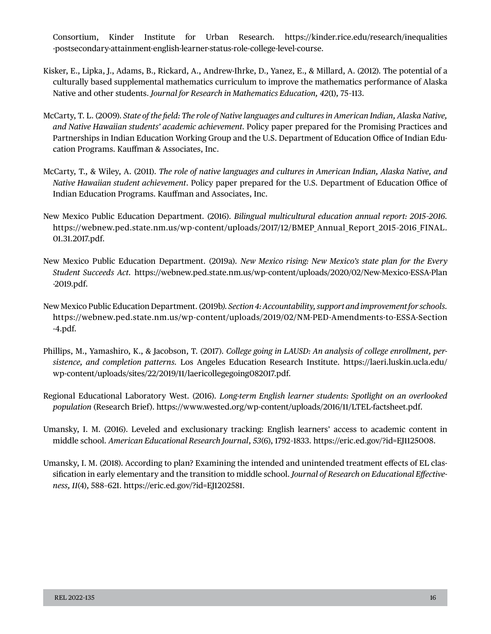Consortium, Kinder Institute for Urban Research. [https://kinder.rice.edu/research/inequalities](https://kinder.rice.edu/research/inequalities-postsecondary-attainment-english-learner-status-role-college-level-course)  [-postsecondary-attainment-english-learner-status-role-college-level-course.](https://kinder.rice.edu/research/inequalities-postsecondary-attainment-english-learner-status-role-college-level-course)

- Kisker, E., Lipka, J., Adams, B., Rickard, A., Andrew-Ihrke, D., Yanez, E., & Millard, A. (2012). The potential of a culturally based supplemental mathematics curriculum to improve the mathematics performance of Alaska Native and other students. *Journal for Research in Mathematics Education, 42*(1), 75–113.
- McCarty, T. L. (2009). *State of the feld: The role of Native languages and cultures in American Indian, Alaska Native, and Native Hawaiian students' academic achievement.* Policy paper prepared for the Promising Practices and Partnerships in Indian Education Working Group and the U.S. Department of Education Office of Indian Education Programs. Kaufman & Associates, Inc.
- McCarty, T., & Wiley, A. (2011). *The role of native languages and cultures in American Indian, Alaska Native, and Native Hawaiian student achievement*. Policy paper prepared for the U.S. Department of Education Office of Indian Education Programs. Kaufman and Associates, Inc.
- New Mexico Public Education Department. (2016). *Bilingual multicultural education annual report: 2015–2016.*  [https://webnew.ped.state.nm.us/wp-content/uploads/2017/12/BMEP\\_Annual\\_Report\\_2015–2016\\_FINAL.](https://webnew.ped.state.nm.us/wp-content/uploads/2017/12/BMEP_Annual_Report_2015-2016_FINAL.01.31.2017.pdf) [01.31.2017.pdf.](https://webnew.ped.state.nm.us/wp-content/uploads/2017/12/BMEP_Annual_Report_2015-2016_FINAL.01.31.2017.pdf)
- New Mexico Public Education Department. (2019a). *New Mexico rising: New Mexico's state plan for the Every Student Succeeds Act.* [https://webnew.ped.state.nm.us/wp-content/uploads/2020/02/New-Mexico-ESSA-Plan](https://webnew.ped.state.nm.us/wp-content/uploads/2020/02/New-Mexico-ESSA-Plan-2019.pdf) [-2019.pdf.](https://webnew.ped.state.nm.us/wp-content/uploads/2020/02/New-Mexico-ESSA-Plan-2019.pdf)
- New Mexico Public Education Department. (2019b*). Section 4: Accountability, support and improvement for schools.*  [https://webnew.ped.state.nm.us/wp-content/uploads/2019/02/NM-PED-Amendments-to-ESSA-Section](https://webnew.ped.state.nm.us/wp-content/uploads/2019/02/NM-PED-Amendments-to-ESSA-Section-4.pdf) [-4.pdf.](https://webnew.ped.state.nm.us/wp-content/uploads/2019/02/NM-PED-Amendments-to-ESSA-Section-4.pdf)
- Phillips, M., Yamashiro, K., & Jacobson, T. (2017). *College going in LAUSD: An analysis of college enrollment, persistence, and completion patterns.* Los Angeles Education Research Institute. [https://laeri.luskin.ucla.edu/](https://laeri.luskin.ucla.edu/wp-content/uploads/sites/22/2019/11/laericollegegoing082017.pdf) [wp-content/uploads/sites/22/2019/11/laericollegegoing082017.pdf.](https://laeri.luskin.ucla.edu/wp-content/uploads/sites/22/2019/11/laericollegegoing082017.pdf)
- Regional Educational Laboratory West. (2016). *Long-term English learner students: Spotlight on an overlooked population* (Research Brief). <https://www.wested.org/wp-content/uploads/2016/11/LTEL-factsheet.pdf>.
- Umansky, I. M. (2016). Leveled and exclusionary tracking: English learners' access to academic content in middle school. *American Educational Research Journal*, *53*(6), 1792–1833. [https://eric.ed.gov/?id=EJ1125008.](https://eric.ed.gov/?id=EJ1125008)
- Umansky, I. M. (2018). According to plan? Examining the intended and unintended treatment efects of EL classifcation in early elementary and the transition to middle school. *Journal of Research on Educational Efectiveness, 11*(4), 588–621.<https://eric.ed.gov/?id=EJ1202581>.